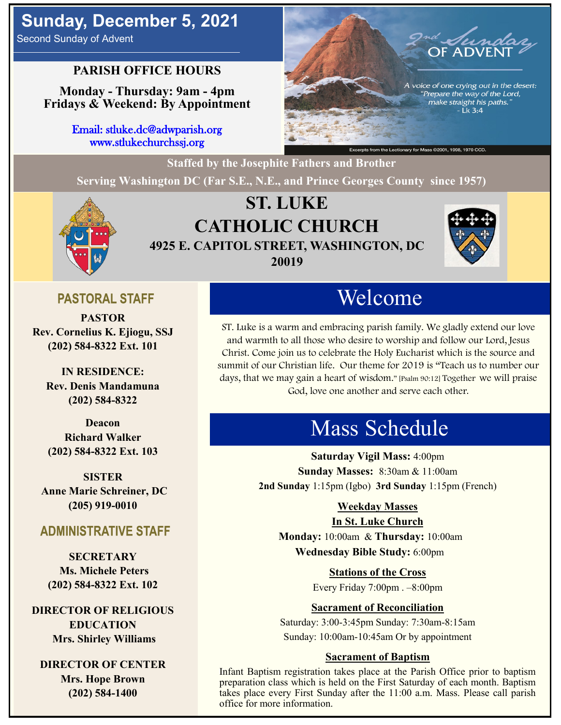# **Sunday, December 5, 2021**

Second Sunday of Advent

## **PARISH OFFICE HOURS**

**Monday - Thursday: 9am - 4pm Fridays & Weekend: By Appointment**

> Email: stluke.dc@adwparish.org www.stlukechurchssj.org



**Staffed by the Josephite Fathers and Brother Serving Washington DC (Far S.E., N.E., and Prince Georges County since 1957)**



# **ST. LUKE CATHOLIC CHURCH 4925 E. CAPITOL STREET, WASHINGTON, DC 20019**



## **PASTORAL STAFF**

**PASTOR Rev. Cornelius K. Ejiogu, SSJ (202) 584-8322 Ext. 101**

**IN RESIDENCE: Rev. Denis Mandamuna (202) 584-8322** 

**Deacon Richard Walker (202) 584-8322 Ext. 103**

**SISTER Anne Marie Schreiner, DC (205) 919-0010**

## **ADMINISTRATIVE STAFF**

**SECRETARY Ms. Michele Peters (202) 584-8322 Ext. 102**

**DIRECTOR OF RELIGIOUS EDUCATION Mrs. Shirley Williams**

**DIRECTOR OF CENTER Mrs. Hope Brown (202) 584-1400**

# Welcome

ST. Luke is a warm and embracing parish family. We gladly extend our love and warmth to all those who desire to worship and follow our Lord, Jesus Christ. Come join us to celebrate the Holy Eucharist which is the source and summit of our Christian life. Our theme for 2019 is "Teach us to number our days, that we may gain a heart of wisdom." [Psalm 90:12] Together we will praise God, love one another and serve each other.

# Mass Schedule

**Saturday Vigil Mass:** 4:00pm **Sunday Masses:** 8:30am & 11:00am **2nd Sunday** 1:15pm (Igbo) **3rd Sunday** 1:15pm (French)

### **Weekday Masses**

#### **In St. Luke Church**

**Monday:** 10:00am & **Thursday:** 10:00am **Wednesday Bible Study:** 6:00pm

> **Stations of the Cross** Every Friday 7:00pm . –8:00pm

#### **Sacrament of Reconciliation**

Saturday: 3:00-3:45pm Sunday: 7:30am-8:15am Sunday: 10:00am-10:45am Or by appointment

#### **Sacrament of Baptism**

Infant Baptism registration takes place at the Parish Office prior to baptism preparation class which is held on the First Saturday of each month. Baptism takes place every First Sunday after the 11:00 a.m. Mass. Please call parish office for more information.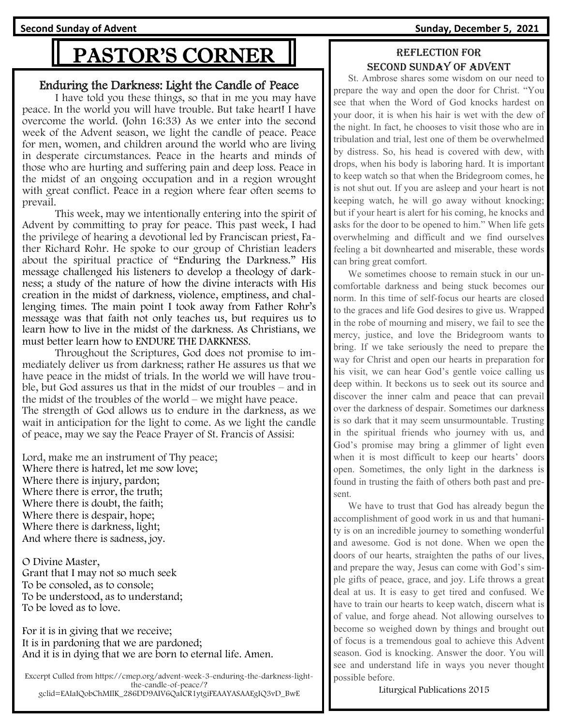**Second Sunday of Advent Sunday, December 5, 2021**

# PASTOR'S CORNER

#### Enduring the Darkness: Light the Candle of Peace

I have told you these things, so that in me you may have peace. In the world you will have trouble. But take heart! I have overcome the world. (John 16:33) As we enter into the second week of the Advent season, we light the candle of peace. Peace for men, women, and children around the world who are living in desperate circumstances. Peace in the hearts and minds of those who are hurting and suffering pain and deep loss. Peace in the midst of an ongoing occupation and in a region wrought with great conflict. Peace in a region where fear often seems to prevail.

This week, may we intentionally entering into the spirit of Advent by committing to pray for peace. This past week, I had the privilege of hearing a devotional led by Franciscan priest, Father Richard Rohr. He spoke to our group of Christian leaders about the spiritual practice of "Enduring the Darkness." His message challenged his listeners to develop a theology of darkness; a study of the nature of how the divine interacts with His creation in the midst of darkness, violence, emptiness, and challenging times. The main point I took away from Father Rohr's message was that faith not only teaches us, but requires us to learn how to live in the midst of the darkness. As Christians, we must better learn how to ENDURE THE DARKNESS.

Throughout the Scriptures, God does not promise to immediately deliver us from darkness; rather He assures us that we have peace in the midst of trials. In the world we will have trouble, but God assures us that in the midst of our troubles – and in the midst of the troubles of the world – we might have peace. The strength of God allows us to endure in the darkness, as we wait in anticipation for the light to come. As we light the candle of peace, may we say the Peace Prayer of St. Francis of Assisi:

Lord, make me an instrument of Thy peace; Where there is hatred, let me sow love; Where there is injury, pardon; Where there is error, the truth; Where there is doubt, the faith; Where there is despair, hope; Where there is darkness, light; And where there is sadness, joy.

O Divine Master, Grant that I may not so much seek To be consoled, as to console; To be understood, as to understand; To be loved as to love.

For it is in giving that we receive; It is in pardoning that we are pardoned; And it is in dying that we are born to eternal life. Amen.

Excerpt Culled from https://cmep.org/advent-week-3-enduring-the-darkness-lightthe-candle-of-peace/? gclid=EAIaIQobChMIlK\_286DD9AIV6QaICR1ytgiFEAAYASAAEgIQ3vD\_BwE

### Reflection for second Sunday of advent

 St. Ambrose shares some wisdom on our need to prepare the way and open the door for Christ. "You see that when the Word of God knocks hardest on your door, it is when his hair is wet with the dew of the night. In fact, he chooses to visit those who are in tribulation and trial, lest one of them be overwhelmed by distress. So, his head is covered with dew, with drops, when his body is laboring hard. It is important to keep watch so that when the Bridegroom comes, he is not shut out. If you are asleep and your heart is not keeping watch, he will go away without knocking; but if your heart is alert for his coming, he knocks and asks for the door to be opened to him." When life gets overwhelming and difficult and we find ourselves feeling a bit downhearted and miserable, these words can bring great comfort.

 We sometimes choose to remain stuck in our uncomfortable darkness and being stuck becomes our norm. In this time of self-focus our hearts are closed to the graces and life God desires to give us. Wrapped in the robe of mourning and misery, we fail to see the mercy, justice, and love the Bridegroom wants to bring. If we take seriously the need to prepare the way for Christ and open our hearts in preparation for his visit, we can hear God's gentle voice calling us deep within. It beckons us to seek out its source and discover the inner calm and peace that can prevail over the darkness of despair. Sometimes our darkness is so dark that it may seem unsurmountable. Trusting in the spiritual friends who journey with us, and God's promise may bring a glimmer of light even when it is most difficult to keep our hearts' doors open. Sometimes, the only light in the darkness is found in trusting the faith of others both past and present.

 We have to trust that God has already begun the accomplishment of good work in us and that humanity is on an incredible journey to something wonderful and awesome. God is not done. When we open the doors of our hearts, straighten the paths of our lives, and prepare the way, Jesus can come with God's simple gifts of peace, grace, and joy. Life throws a great deal at us. It is easy to get tired and confused. We have to train our hearts to keep watch, discern what is of value, and forge ahead. Not allowing ourselves to become so weighed down by things and brought out of focus is a tremendous goal to achieve this Advent season. God is knocking. Answer the door. You will see and understand life in ways you never thought possible before.

Liturgical Publications 2015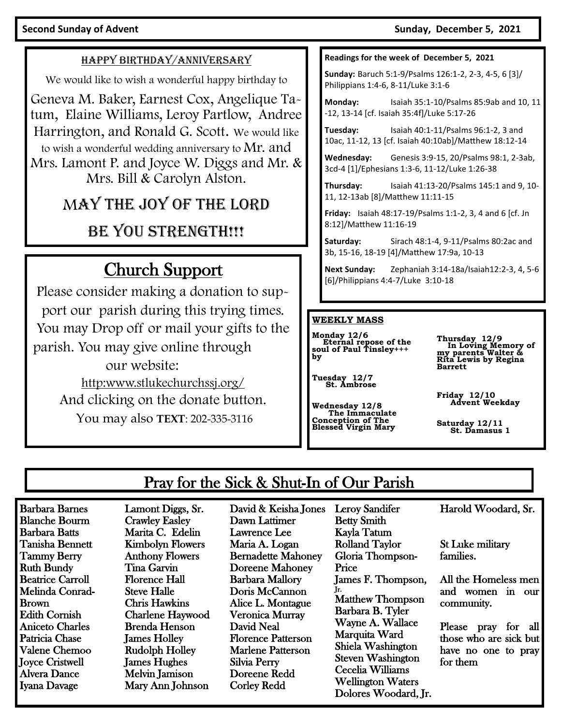#### Second Sunday of Advent **Sunday of Advent Sunday, December 5, 2021**

#### HAPPY BIRTHDAY/ANNIVERSARY

We would like to wish a wonderful happy birthday to

Geneva M. Baker, Earnest Cox, Angelique Tatum, Elaine Williams, Leroy Partlow, Andree Harrington, and Ronald G. Scott. We would like to wish a wonderful wedding anniversary to  $Mr$ . and Mrs. Lamont P. and Joyce W. Diggs and Mr. & Mrs. Bill & Carolyn Alston.

# MAY THE JOY OF THE LORD

# BE YOU STRENGTH!!!

# Church Support

Please consider making a donation to support our parish during this trying times. You may Drop off or mail your gifts to the parish. You may give online through our website: [http:www.stlukechurchssj.org/](http://www.stlukechurchssj.org/) And clicking on the donate button.

You may also **TEXT**: 202-335-3116

#### **Readings for the week of December 5, 2021**

**Sunday:** Baruch 5:1-9/Psalms 126:1-2, 2-3, 4-5, 6 [3]/ Philippians 1:4-6, 8-11/Luke 3:1-6

**Monday:** Isaiah 35:1-10/Psalms 85:9ab and 10, 11 -12, 13-14 [cf. Isaiah 35:4f]/Luke 5:17-26

**Tuesday:** Isaiah 40:1-11/Psalms 96:1-2, 3 and 10ac, 11-12, 13 [cf. Isaiah 40:10ab]/Matthew 18:12-14

**Wednesday:** Genesis 3:9-15, 20/Psalms 98:1, 2-3ab, 3cd-4 [1]/Ephesians 1:3-6, 11-12/Luke 1:26-38

**Thursday:** Isaiah 41:13-20/Psalms 145:1 and 9, 10- 11, 12-13ab [8]/Matthew 11:11-15

**Friday:** Isaiah 48:17-19/Psalms 1:1-2, 3, 4 and 6 [cf. Jn 8:12]/Matthew 11:16-19

**Saturday:** Sirach 48:1-4, 9-11/Psalms 80:2ac and 3b, 15-16, 18-19 [4]/Matthew 17:9a, 10-13

**Next Sunday:** Zephaniah 3:14-18a/Isaiah12:2-3, 4, 5-6 [6]/Philippians 4:4-7/Luke 3:10-18

#### **WEEKLY MASS**

**Monday 12/6 Eternal repose of the soul of Paul Tinsley+++ by** 

**Thursday 12/9 In Loving Memory of my parents Walter & Rita Lewis by Regina Barrett**

**Tuesday 12/7 St. Ambrose**

**Wednesday 12/8 The Immaculate Conception of The Blessed Virgin Mary**  **Friday 12/10 Advent Weekday** 

**Saturday 12/11 St. Damasus 1**

# Pray for the Sick & Shut-In of Our Parish

Barbara Barnes Blanche Bourm Barbara Batts Tanisha Bennett Tammy Berry Ruth Bundy Beatrice Carroll Melinda Conrad-Brown Edith Cornish Aniceto Charles Patricia Chase Valene Chemoo Joyce Cristwell Alvera Dance Iyana Davage

Lamont Diggs, Sr. Crawley Easley Marita C. Edelin Kimbolyn Flowers Anthony Flowers Tina Garvin Florence Hall Steve Halle Chris Hawkins Charlene Haywood Brenda Henson James Holley Rudolph Holley James Hughes Melvin Jamison Mary Ann Johnson

David & Keisha Jones Dawn Lattimer Lawrence Lee Maria A. Logan Bernadette Mahoney Doreene Mahoney Barbara Mallory Doris McCannon Alice L. Montague Veronica Murray David Neal Florence Patterson Marlene Patterson Silvia Perry Doreene Redd Corley Redd

Betty Smith Kayla Tatum Rolland Taylor Gloria Thompson-Price James F. Thompson, Jr. Matthew Thompson Barbara B. Tyler Wayne A. Wallace Marquita Ward Shiela Washington Steven Washington Cecelia Williams Wellington Waters Dolores Woodard, Jr.

Leroy Sandifer

Harold Woodard, Sr.

St Luke military families.

All the Homeless men and women in our community.

Please pray for all those who are sick but have no one to pray for them